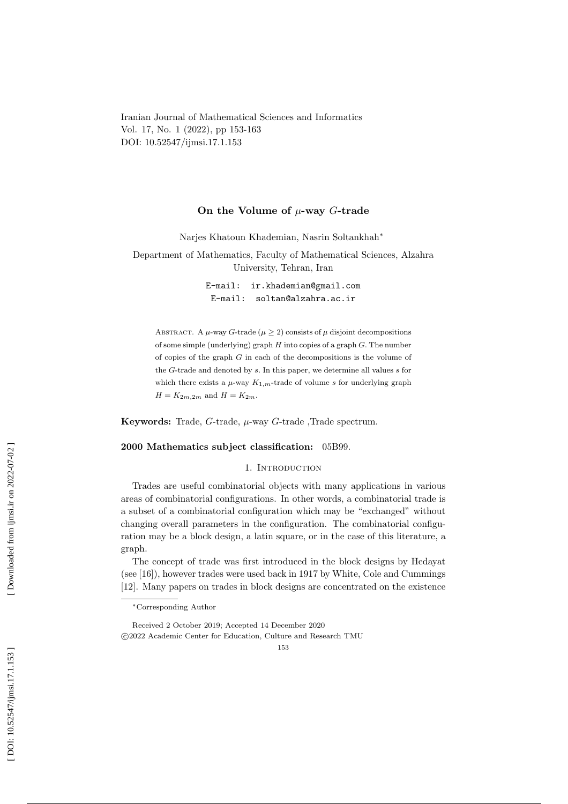Iranian Journal of Mathematical Sciences and Informatics Vol. 17, No. 1 (2022), pp 153-163 DOI: 10.52547/ijmsi.17.1.153

## On the Volume of  $\mu$ -way G-trade

Narjes Khatoun Khademian, Nasrin Soltankhah ∗

Department of Mathematics, Faculty of Mathematical Sciences, Alzahra University, Tehran, Iran

> E-mail: ir.khademian@gmail.com E-mail: soltan@alzahra.ac.ir

ABSTRACT. A  $\mu$ -way G-trade ( $\mu \geq 2$ ) consists of  $\mu$  disjoint decompositions of some simple (underlying) graph  $H$  into copies of a graph  $G$ . The number of copies of the graph G in each of the decompositions is the volume of the G-trade and denoted by s. In this paper, we determine all values s for which there exists a  $\mu$ -way  $K_{1,m}$ -trade of volume s for underlying graph  $H = K_{2m,2m}$  and  $H = K_{2m}$ .

Keywords: Trade,  $G$ -trade,  $\mu$ -way  $G$ -trade, Trade spectrum.

### 2000 Mathematics subject classification: 05B99.

## 1. INTRODUCTION

Trades are useful combinatorial objects with many applications in various areas of combinatorial configurations. In other words, a combinatorial trade is a subset of a combinatorial configuration which may be "exchanged" without changing overall parameters in the configuration. The combinatorial configuration may be a block design, a latin square, or in the case of this literature, a graph.

The concept of trade was first introduced in the block designs by Hedayat (see [16]), however trades were used back in 1917 by White, Cole and Cummings [12]. Many papers on trades in block designs are concentrated on the existence

<sup>∗</sup>Corresponding Author

Received 2 October 2019; Accepted 14 December 2020 c 2022 Academic Center for Education, Culture and Research TMU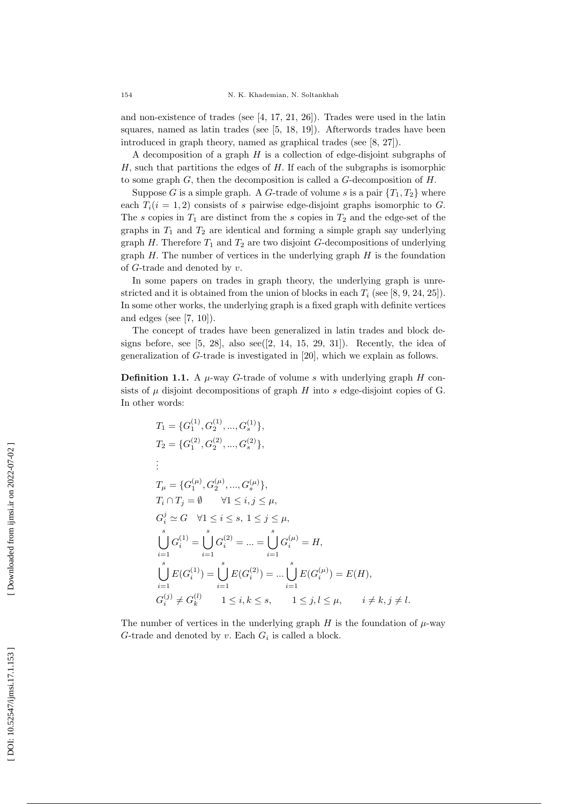and non-existence of trades (see  $[4, 17, 21, 26]$ ). Trades were used in the latin squares, named as latin trades (see [5, 18, 19]). Afterwords trades have been introduced in graph theory, named as graphical trades (see [8, 27]).

A decomposition of a graph  $H$  is a collection of edge-disjoint subgraphs of  $H$ , such that partitions the edges of  $H$ . If each of the subgraphs is isomorphic to some graph  $G$ , then the decomposition is called a  $G$ -decomposition of  $H$ .

Suppose G is a simple graph. A G-trade of volume s is a pair  $\{T_1, T_2\}$  where each  $T_i(i = 1, 2)$  consists of s pairwise edge-disjoint graphs isomorphic to G. The s copies in  $T_1$  are distinct from the s copies in  $T_2$  and the edge-set of the graphs in  $T_1$  and  $T_2$  are identical and forming a simple graph say underlying graph  $H$ . Therefore  $T_1$  and  $T_2$  are two disjoint  $G$ -decompositions of underlying graph  $H$ . The number of vertices in the underlying graph  $H$  is the foundation of G-trade and denoted by v.

In some papers on trades in graph theory, the underlying graph is unrestricted and it is obtained from the union of blocks in each  $T_i$  (see [8, 9, 24, 25]). In some other works, the underlying graph is a fixed graph with definite vertices and edges (see  $[7, 10]$ ).

The concept of trades have been generalized in latin trades and block designs before, see  $[5, 28]$ , also see $([2, 14, 15, 29, 31])$ . Recently, the idea of generalization of G-trade is investigated in [20], which we explain as follows.

**Definition 1.1.** A  $\mu$ -way G-trade of volume s with underlying graph H consists of  $\mu$  disjoint decompositions of graph H into s edge-disjoint copies of G. In other words:

$$
T_1 = \{G_1^{(1)}, G_2^{(1)}, \dots, G_s^{(1)}\},
$$
  
\n
$$
T_2 = \{G_1^{(2)}, G_2^{(2)}, \dots, G_s^{(2)}\},
$$
  
\n
$$
\vdots
$$
  
\n
$$
T_{\mu} = \{G_1^{(\mu)}, G_2^{(\mu)}, \dots, G_s^{(\mu)}\},
$$
  
\n
$$
T_i \cap T_j = \emptyset \qquad \forall 1 \le i, j \le \mu,
$$
  
\n
$$
G_i^j \simeq G \quad \forall 1 \le i \le s, 1 \le j \le \mu,
$$
  
\n
$$
\bigcup_{i=1}^s G_i^{(1)} = \bigcup_{i=1}^s G_i^{(2)} = \dots = \bigcup_{i=1}^s G_i^{(\mu)} = H,
$$
  
\n
$$
\bigcup_{i=1}^s E(G_i^{(1)}) = \bigcup_{i=1}^s E(G_i^{(2)}) = \dots \bigcup_{i=1}^s E(G_i^{(\mu)}) = E(H),
$$
  
\n
$$
G_i^{(j)} \ne G_k^{(l)} \qquad 1 \le i, k \le s, \qquad 1 \le j, l \le \mu, \qquad i \ne k, j \ne l.
$$

The number of vertices in the underlying graph  $H$  is the foundation of  $\mu$ -way G-trade and denoted by  $v$ . Each  $G_i$  is called a block.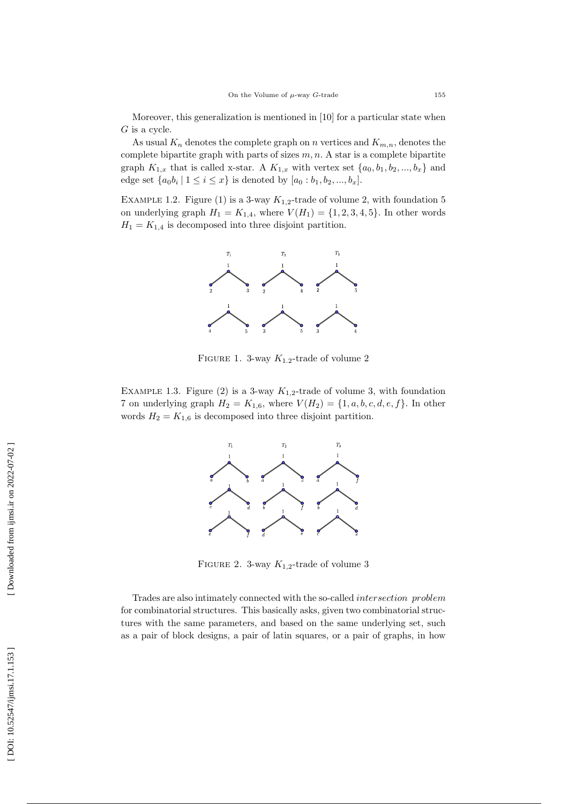Moreover, this generalization is mentioned in [10] for a particular state when  $G$  is a cycle.

As usual  $K_n$  denotes the complete graph on n vertices and  $K_{m,n}$ , denotes the complete bipartite graph with parts of sizes  $m, n$ . A star is a complete bipartite graph  $K_{1,x}$  that is called x-star. A  $K_{1,x}$  with vertex set  $\{a_0, b_1, b_2, ..., b_x\}$  and edge set  $\{a_0b_i | 1 \le i \le x\}$  is denoted by  $[a_0:b_1,b_2,...,b_x]$ .

EXAMPLE 1.2. Figure (1) is a 3-way  $K_{1,2}$ -trade of volume 2, with foundation 5 on underlying graph  $H_1 = K_{1,4}$ , where  $V(H_1) = \{1, 2, 3, 4, 5\}$ . In other words  $H_1 = K_{1,4}$  is decomposed into three disjoint partition.



FIGURE 1. 3-way  $K_{1,2}$ -trade of volume 2

EXAMPLE 1.3. Figure (2) is a 3-way  $K_{1,2}$ -trade of volume 3, with foundation 7 on underlying graph  $H_2 = K_{1,6}$ , where  $V(H_2) = \{1, a, b, c, d, e, f\}$ . In other words  $H_2 = K_{1,6}$  is decomposed into three disjoint partition.



FIGURE 2. 3-way  $K_{1,2}$ -trade of volume 3

Trades are also intimately connected with the so-called intersection problem for combinatorial structures. This basically asks, given two combinatorial structures with the same parameters, and based on the same underlying set, such as a pair of block designs, a pair of latin squares, or a pair of graphs, in how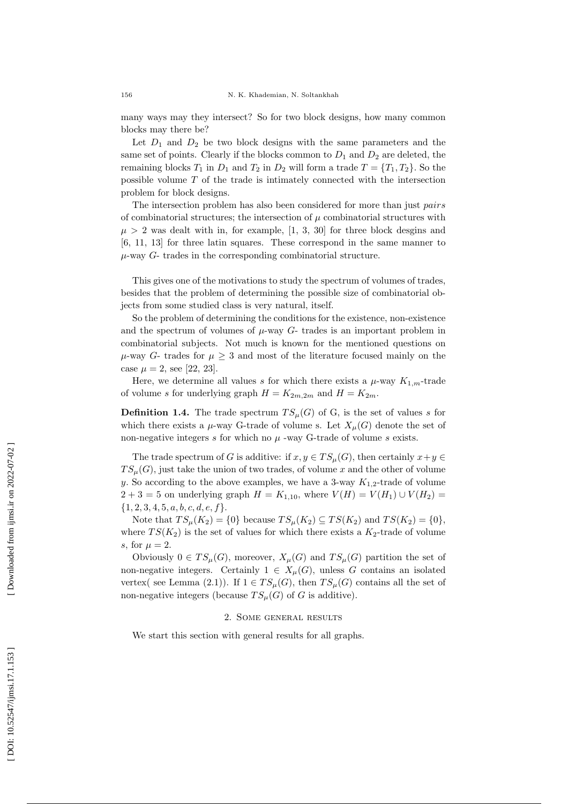many ways may they intersect? So for two block designs, how many common blocks may there be?

Let  $D_1$  and  $D_2$  be two block designs with the same parameters and the same set of points. Clearly if the blocks common to  $D_1$  and  $D_2$  are deleted, the remaining blocks  $T_1$  in  $D_1$  and  $T_2$  in  $D_2$  will form a trade  $T = \{T_1, T_2\}$ . So the possible volume T of the trade is intimately connected with the intersection problem for block designs.

The intersection problem has also been considered for more than just *pairs* of combinatorial structures; the intersection of  $\mu$  combinatorial structures with  $\mu > 2$  was dealt with in, for example, [1, 3, 30] for three block desgins and [6, 11, 13] for three latin squares. These correspond in the same manner to  $\mu$ -way  $G$ - trades in the corresponding combinatorial structure.

This gives one of the motivations to study the spectrum of volumes of trades, besides that the problem of determining the possible size of combinatorial objects from some studied class is very natural, itself.

So the problem of determining the conditions for the existence, non-existence and the spectrum of volumes of  $\mu$ -way  $G$ - trades is an important problem in combinatorial subjects. Not much is known for the mentioned questions on  $\mu$ -way G- trades for  $\mu > 3$  and most of the literature focused mainly on the case  $\mu = 2$ , see [22, 23].

Here, we determine all values s for which there exists a  $\mu$ -way  $K_{1,m}$ -trade of volume s for underlying graph  $H = K_{2m,2m}$  and  $H = K_{2m}$ .

**Definition 1.4.** The trade spectrum  $TS_{\mu}(G)$  of G, is the set of values s for which there exists a  $\mu$ -way G-trade of volume s. Let  $X_\mu(G)$  denote the set of non-negative integers  $s$  for which no  $\mu$  -way G-trade of volume  $s$  exists.

The trade spectrum of G is additive: if  $x, y \in TS_{\mu}(G)$ , then certainly  $x + y \in$  $TS_{\mu}(G)$ , just take the union of two trades, of volume x and the other of volume y. So according to the above examples, we have a 3-way  $K_{1,2}$ -trade of volume  $2 + 3 = 5$  on underlying graph  $H = K_{1,10}$ , where  $V(H) = V(H_1) \cup V(H_2) =$  $\{1, 2, 3, 4, 5, a, b, c, d, e, f\}.$ 

Note that  $TS_{\mu}(K_2) = \{0\}$  because  $TS_{\mu}(K_2) \subseteq TS(K_2)$  and  $TS(K_2) = \{0\},$ where  $TS(K_2)$  is the set of values for which there exists a  $K_2$ -trade of volume s, for  $\mu = 2$ .

Obviously  $0 \in TS_{\mu}(G)$ , moreover,  $X_{\mu}(G)$  and  $TS_{\mu}(G)$  partition the set of non-negative integers. Certainly  $1 \in X_\mu(G)$ , unless G contains an isolated vertex( see Lemma (2.1)). If  $1 \in TS_{\mu}(G)$ , then  $TS_{\mu}(G)$  contains all the set of non-negative integers (because  $TS_{\mu}(G)$  of G is additive).

#### 2. Some general results

We start this section with general results for all graphs.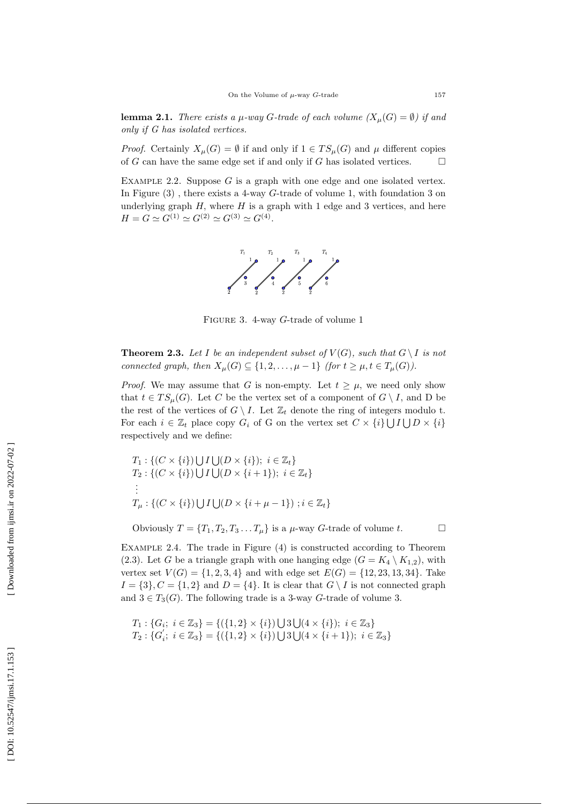**lemma 2.1.** There exists a  $\mu$ -way G-trade of each volume  $(X_{\mu}(G) = \emptyset)$  if and only if G has isolated vertices.

*Proof.* Certainly  $X_\mu(G) = \emptyset$  if and only if  $1 \in TS_\mu(G)$  and  $\mu$  different copies of G can have the same edge set if and only if G has isolated vertices.  $\Box$ 

EXAMPLE 2.2. Suppose  $G$  is a graph with one edge and one isolated vertex. In Figure  $(3)$ , there exists a 4-way *G*-trade of volume 1, with foundation 3 on underlying graph  $H$ , where  $H$  is a graph with 1 edge and 3 vertices, and here  $H = G \simeq G^{(1)} \simeq G^{(2)} \simeq G^{(3)} \simeq G^{(4)}$ .



FIGURE 3. 4-way G-trade of volume 1

**Theorem 2.3.** Let I be an independent subset of  $V(G)$ , such that  $G \setminus I$  is not connected graph, then  $X_\mu(G) \subseteq \{1, 2, ..., \mu - 1\}$  (for  $t \geq \mu, t \in T_\mu(G)$ ).

*Proof.* We may assume that G is non-empty. Let  $t \geq \mu$ , we need only show that  $t \in TS_{\mu}(G)$ . Let C be the vertex set of a component of  $G \setminus I$ , and D be the rest of the vertices of  $G \setminus I$ . Let  $\mathbb{Z}_t$  denote the ring of integers modulo t. For each  $i \in \mathbb{Z}_t$  place copy  $G_i$  of G on the vertex set  $C \times \{i\} \cup I \cup D \times \{i\}$ respectively and we define:

 $T_1: \{(C \times \{i\}) \bigcup I \bigcup (D \times \{i\}); i \in \mathbb{Z}_t\}$  $T_2: \{(C \times \{i\}) \cup I \cup (D \times \{i+1\}); i \in \mathbb{Z}_t\}$ ... $T_{\mu} : \{ (C \times \{i\}) \cup I \cup (D \times \{i + \mu - 1\}) \; ; i \in \mathbb{Z}_t \}$ 

Obviously  $T = \{T_1, T_2, T_3 \dots T_{\mu}\}\$ is a  $\mu$ -way G-trade of volume t.

 $\Box$ 

Example 2.4 . The trade in Figure (4) is constructed according to Theorem (2.3). Let G be a triangle graph with one hanging edge  $(G = K_4 \setminus K_{1,2})$ , with vertex set  $V(G) = \{1, 2, 3, 4\}$  and with edge set  $E(G) = \{12, 23, 13, 34\}$ . Take  $I = \{3\}, C = \{1, 2\}$  and  $D = \{4\}.$  It is clear that  $G \setminus I$  is not connected graph and  $3 \in T_3(G)$ . The following trade is a 3-way G-trade of volume 3.

 $T_1: \{G_i; i \in \mathbb{Z}_3\} = \{(\{1,2\} \times \{i\}) \cup 3 \cup (4 \times \{i\}); i \in \mathbb{Z}_3\}$  $T_2$  :  $\overline{\{G}_i^{'}\}$  $i'$ ;  $i \in \mathbb{Z}_3$ } = {({1, 2} × {*i*})  $\bigcup 3 \bigcup (4 \times \{i+1\})$ ;  $i \in \mathbb{Z}_3$ }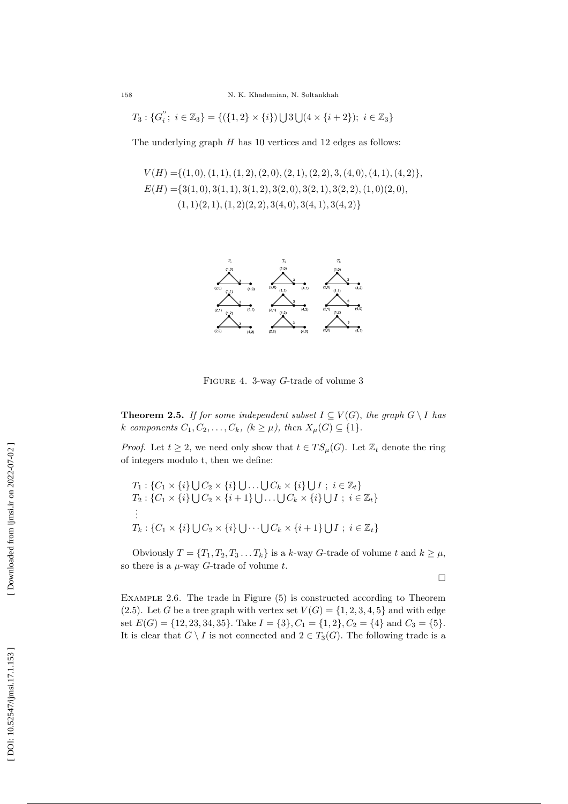$$
T_3: \{G_i^{''};\ i\in\mathbb{Z}_3\} = \{(\{1,2\}\times\{i\})\bigcup 3\bigcup (4\times\{i+2\});\ i\in\mathbb{Z}_3\}
$$

The underlying graph  $H$  has 10 vertices and 12 edges as follows:

$$
V(H) = \{(1,0), (1,1), (1,2), (2,0), (2,1), (2,2), 3, (4,0), (4,1), (4,2)\},
$$
  
\n
$$
E(H) = \{3(1,0), 3(1,1), 3(1,2), 3(2,0), 3(2,1), 3(2,2), (1,0)(2,0),
$$
  
\n
$$
(1,1)(2,1), (1,2)(2,2), 3(4,0), 3(4,1), 3(4,2)\}
$$



FIGURE 4. 3-way G-trade of volume 3

**Theorem 2.5.** If for some independent subset  $I \subseteq V(G)$ , the graph  $G \setminus I$  has k components  $C_1, C_2, \ldots, C_k$ ,  $(k \ge \mu)$ , then  $X_\mu(G) \subseteq \{1\}$ .

*Proof.* Let  $t \geq 2$ , we need only show that  $t \in TS_{\mu}(G)$ . Let  $\mathbb{Z}_t$  denote the ring of integers modulo t, then we define:

$$
T_1: \{C_1 \times \{i\} \cup C_2 \times \{i\} \cup \ldots \cup C_k \times \{i\} \cup I; i \in \mathbb{Z}_t\}
$$
  
\n
$$
T_2: \{C_1 \times \{i\} \cup C_2 \times \{i+1\} \cup \ldots \cup C_k \times \{i\} \cup I; i \in \mathbb{Z}_t\}
$$
  
\n
$$
\vdots
$$
  
\n
$$
T_k: \{C_1 \times \{i\} \cup C_2 \times \{i\} \cup \cdots \cup C_k \times \{i+1\} \cup I; i \in \mathbb{Z}_t\}
$$

Obviously  $T = \{T_1, T_2, T_3 \dots T_k\}$  is a k-way G-trade of volume t and  $k \geq \mu$ , so there is a  $\mu$ -way G-trade of volume t.

 $\Box$ 

Example 2.6 . The trade in Figure (5) is constructed according to Theorem (2.5). Let G be a tree graph with vertex set  $V(G) = \{1, 2, 3, 4, 5\}$  and with edge set  $E(G) = \{12, 23, 34, 35\}$ . Take  $I = \{3\}$ ,  $C_1 = \{1, 2\}$ ,  $C_2 = \{4\}$  and  $C_3 = \{5\}$ . It is clear that  $G \setminus I$  is not connected and  $2 \in T_3(G)$ . The following trade is a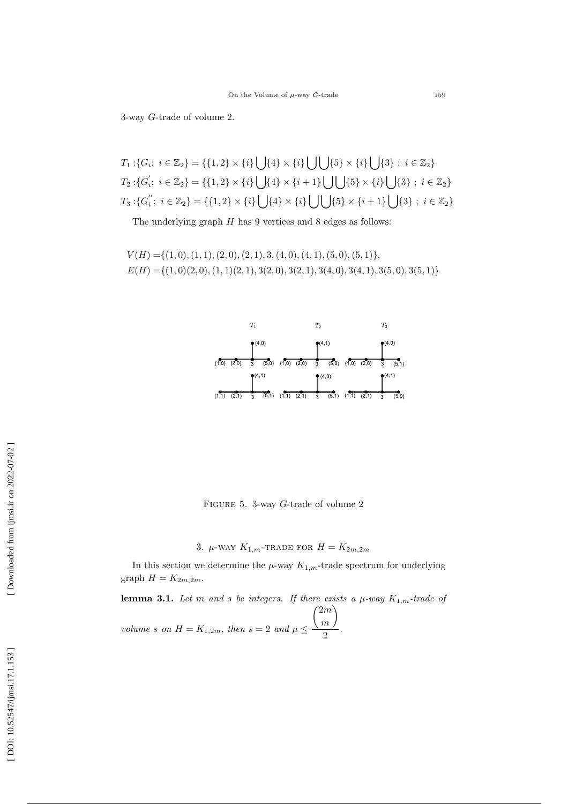3-way G-trade of volume 2 .

$$
T_1: \{G_i; i \in \mathbb{Z}_2\} = \{\{1, 2\} \times \{i\} \cup \{4\} \times \{i\} \cup \{\{5\} \times \{i\} \cup \{3\} ; i \in \mathbb{Z}_2\}
$$
  
\n
$$
T_2: \{G'_i; i \in \mathbb{Z}_2\} = \{\{1, 2\} \times \{i\} \cup \{4\} \times \{i+1\} \cup \cup \{5\} \times \{i\} \cup \{3\} ; i \in \mathbb{Z}_2\}
$$
  
\n
$$
T_3: \{G''_i; i \in \mathbb{Z}_2\} = \{\{1, 2\} \times \{i\} \cup \{\{4\} \times \{i\} \cup \{\{5\} \times \{i+1\} \cup \{3\} ; i \in \mathbb{Z}_2\}
$$

The underlying graph  $H$  has 9 vertices and 8 edges as follows:

 $V(H) = \{(1,0), (1,1), (2,0), (2,1), (3,1), (4,1), (5,0), (5,1)\},\$  $E(H) = \{(1,0)(2,0), (1,1)(2,1), (3(2,0), 3(2,1), 3(4,0), 3(4,1), 3(5,0), 3(5,1)\}\$ 



FIGURE 5. 3-way G-trade of volume 2

# 3.  $\mu$ -WAY  $K_{1,m}$ -TRADE FOR  $H = K_{2m,2m}$

In this section we determine the  $\mu$ -way  $K_{1,m}$ -trade spectrum for underlying graph  $H = K_{2m,2m}$ .

**lemma 3.1.** Let m and s be integers. If there exists a  $\mu$ -way  $K_{1,m}$ -trade of volume s on  $H = K_{1,2m}$ , then  $s = 2$  and  $\mu \leq$  $\binom{2m}{m}$  $\frac{1}{2}$ .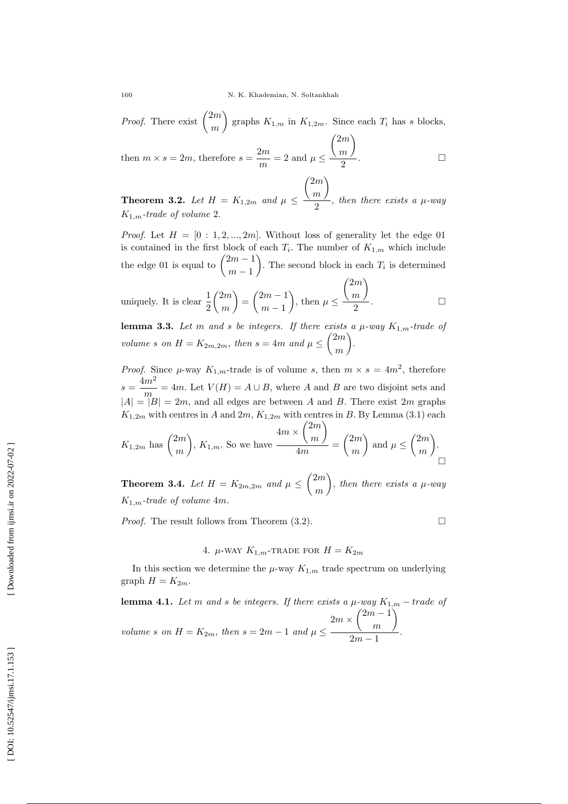*Proof.* There exist  $\binom{2m}{m}$  graphs  $K_{1,m}$  in  $K_{1,2m}$ . Since each  $T_i$  has s blocks,  $\binom{2m}{m}$ 

then  $m \times s = 2m$ , therefore  $s = \frac{2m}{m} = 2$  and  $\mu \le$  $\frac{n}{2}$ .  $\Box$ 

**Theorem 3.2.** Let  $H = K_{1,2m}$  and  $\mu \leq$  $\binom{2m}{m}$  $\frac{n}{2}$ , then there exists a  $\mu$ -way  $K_{1,m}$ -trade of volume 2.

*Proof.* Let  $H = [0:1,2,...,2m]$ . Without loss of generality let the edge 01 is contained in the first block of each  $T_i$ . The number of  $K_{1,m}$  which include the edge 01 is equal to  $\binom{2m-1}{1}$  $m-1$ ). The second block in each  $T_i$  is determined

uniquely. It is clear 
$$
\frac{1}{2} {2m \choose m} = {2m-1 \choose m-1}
$$
, then  $\mu \le \frac{{2m \choose m}}{2}$ .

**lemma 3.3.** Let m and s be integers. If there exists a  $\mu$ -way  $K_{1,m}$ -trade of volume s on  $H = K_{2m,2m}$ , then  $s = 4m$  and  $\mu \leq {2m \choose m}$ .

*Proof.* Since  $\mu$ -way  $K_{1,m}$ -trade is of volume s, then  $m \times s = 4m^2$ , therefore  $s=\frac{4m^2}{2}$  $\frac{m}{m} = 4m$ . Let  $V(H) = A \cup B$ , where A and B are two disjoint sets and  $|A| = |B| = 2m$ , and all edges are between A and B. There exist  $2m$  graphs  $K_{1,2m}$  with centres in A and  $2m$ ,  $K_{1,2m}$  with centres in B. By Lemma (3.1) each

$$
K_{1,2m}
$$
 has  $\binom{2m}{m}$ ,  $K_{1,m}$ . So we have  $\frac{4m \times \binom{2m}{m}}{4m} = \binom{2m}{m}$  and  $\mu \leq \binom{2m}{m}$ .

**Theorem 3.4.** Let  $H = K_{2m,2m}$  and  $\mu \leq {2m \choose m}$ , then there exists a  $\mu$ -way  $K_{1,m}$ -trade of volume 4m.

Proof. The result follows from Theorem (3.2).

4.  $\mu$ -WAY  $K_{1,m}$ -TRADE FOR  $H = K_{2m}$ 

 $\Box$ 

In this section we determine the  $\mu$ -way  $K_{1,m}$  trade spectrum on underlying graph  $H = K_{2m}$ .

**lemma 4.1.** Let m and s be integers. If there exists a  $\mu$ -way  $K_{1,m}$  – trade of volume s on  $H = K_{2m}$ , then  $s = 2m - 1$  and  $\mu \leq$  $2m \times \binom{2m-1}{2m}$ m  $\setminus$  $\frac{m}{2m-1}$ .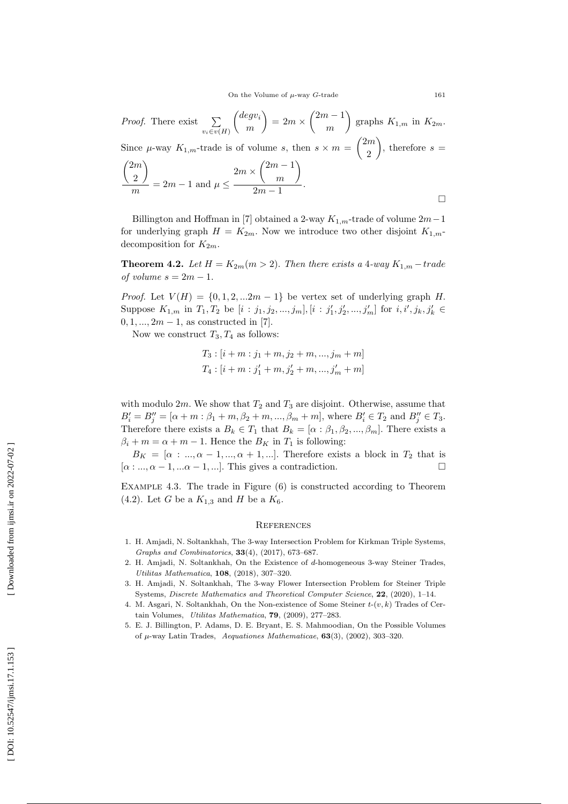*Proof.* There exist  $\sum$  $v_i \in v(H)$  degv i m  $= 2m \times \binom{2m-1}{2m}$ m ) graphs  $K_{1,m}$  in  $K_{2m}$ . Since  $\mu$ -way  $K_{1,m}$ -trade is of volume s, then  $s \times m = \binom{2m}{3}$ 2 ), therefore  $s =$  $\sqrt{2m}$ 2  $\setminus$  $\frac{2\pi}{m}$  = 2m - 1 and  $\mu \le$  $2m \times \binom{2m-1}{2m}$ m  $\setminus$  $\frac{m}{2m-1}$ .  $\Box$ 

Billington and Hoffman in [7] obtained a 2-way  $K_{1,m}$ -trade of volume  $2m-1$ for underlying graph  $H = K_{2m}$ . Now we introduce two other disjoint  $K_{1,m}$ . decomposition for  $K_{2m}$ .

**Theorem 4.2.** Let  $H = K_{2m}(m > 2)$ . Then there exists a 4-way  $K_{1,m}$  – trade of volume  $s = 2m - 1$ .

*Proof.* Let  $V(H) = \{0, 1, 2, \ldots, 2m-1\}$  be vertex set of underlying graph H. Suppose  $K_{1,m}$  in  $T_1, T_2$  be  $[i : j_1, j_2, ..., j_m], [i : j'_1, j'_2, ..., j'_m]$  for  $i, i', j_k, j'_k \in$  $0, 1, ..., 2m - 1$ , as constructed in [7].

Now we construct  $T_3, T_4$  as follows:

$$
T_3: [i + m : j_1 + m, j_2 + m, ..., j_m + m]
$$
  

$$
T_4: [i + m : j'_1 + m, j'_2 + m, ..., j'_m + m]
$$

with modulo  $2m$ . We show that  $T_2$  and  $T_3$  are disjoint. Otherwise, assume that  $B'_{i} = B''_{j} = [\alpha + m : \beta_{1} + m, \beta_{2} + m, ..., \beta_{m} + m]$ , where  $B'_{i} \in T_{2}$  and  $B''_{j} \in T_{3}$ . Therefore there exists a  $B_k \in T_1$  that  $B_k = [\alpha : \beta_1, \beta_2, ..., \beta_m]$ . There exists a  $\beta_i + m = \alpha + m - 1$ . Hence the  $B_K$  in  $T_1$  is following:

 $B_K = [\alpha : ..., \alpha - 1, ..., \alpha + 1, ...].$  Therefore exists a block in  $T_2$  that is  $[\alpha: ..., \alpha-1, ... \alpha-1, ...].$  This gives a contradiction.  $\Box$ 

Example 4.3 . The trade in Figure (6) is constructed according to Theorem (4.2). Let G be a  $K_{1,3}$  and H be a  $K_6$ .

#### **REFERENCES**

- 1. H. Amjadi, N. Soltankhah, The 3-way Intersection Problem for Kirkman Triple Systems, *Graphs and Combinatorics* , 33(4), (2017), 673–687.
- 2. H. Amjadi, N. Soltankhah, On the Existence of d-homogeneous 3-way Steiner Trades, *Utilitas Mathematica* , 108, (2018), 307–320.
- 3. H. Amjadi, N. Soltankhah, The 3-way Flower Intersection Problem for Steiner Triple Systems, *Discrete Mathematics and Theoretical Computer Science*, 22, (2020), 1-14.
- 4. M. Asgari, N. Soltankhah, On the Non-existence of Some Steiner  $t$ - $(v, k)$  Trades of Certain Volumes, *Utilitas Mathematica*, 79, (2009), 277–283.
- 5. E. J. Billington, P. Adams, D. E. Bryant, E. S. Mahmoodian, On the Possible Volumes of µ-way Latin Trades, *Aequationes Mathematicae* , 63(3), (2002), 303–320.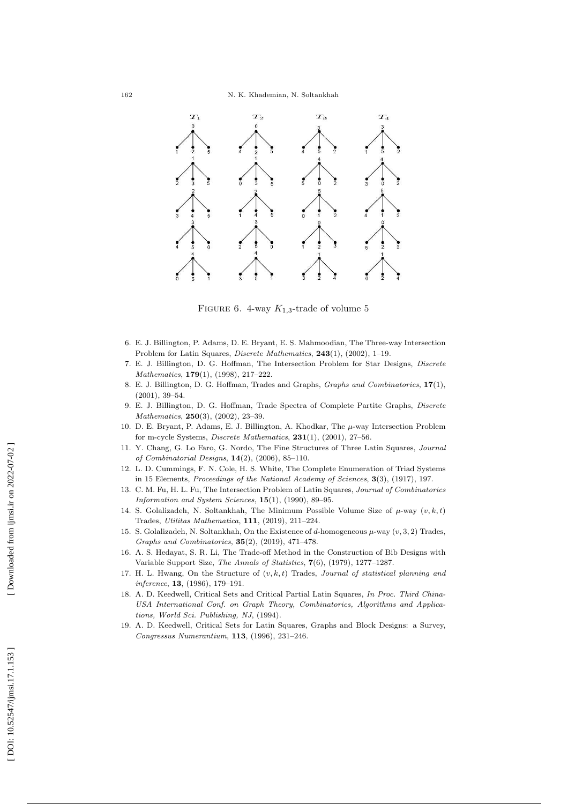

FIGURE 6. 4-way  $K_{1,3}$ -trade of volume 5

- 6. E. J. Billington, P. Adams, D. E. Bryant, E. S. Mahmoodian, The Three-way Intersection Problem for Latin Squares, *Discrete Mathematics* , 243(1), (2002), 1–19.
- 7. E. J. Billington, D. G. Hoffman, The Intersection Problem for Star Designs, *Discrete Mathematics* , 179(1), (1998), 217–222.
- 8. E. J. Billington, D. G. Hoffman, Trades and Graphs, *Graphs and Combinatorics* , 17(1), (2001), 39–54.
- 9. E. J. Billington, D. G. Hoffman, Trade Spectra of Complete Partite Graphs, *Discrete Mathematics* , 250(3), (2002), 23–39.
- 10. D. E. Bryant, P. Adams, E. J. Billington, A. Khodkar, The  $\mu$ -way Intersection Problem for m-cycle Systems, *Discrete Mathematics* , 231(1), (2001), 27–56.
- 11. Y. Chang, G. Lo Faro, G. Nordo, The Fine Structures of Three Latin Squares, *Journal of Combinatorial Designs* , 14(2), (2006), 85–110.
- 12. L. D. Cummings, F. N. Cole, H. S. White, The Complete Enumeration of Triad Systems in 15 Elements, *Proceedings of the National Academy of Sciences* , 3(3), (1917), 197.
- 13. C. M. Fu, H. L. Fu, The Intersection Problem of Latin Squares, *Journal of Combinatorics Information and System Sciences* , 15(1), (1990), 89–95.
- 14. S. Golalizadeh, N. Soltankhah, The Minimum Possible Volume Size of  $\mu$ -way  $(v, k, t)$ Trades, *Utilitas Mathematica* , 111, (2019), 211–224.
- 15. S. Golalizadeh, N. Soltankhah, On the Existence of d-homogeneous  $\mu$ -way  $(v, 3, 2)$  Trades, *Graphs and Combinatorics* , 35(2), (2019), 471–478.
- 16. A. S. Hedayat, S. R. Li, The Trade-off Method in the Construction of Bib Designs with Variable Support Size, *The Annals of Statistics* , 7(6), (1979), 1277–1287.
- 17. H. L. Hwang, On the Structure of (v, k, t) Trades, *Journal of statistical planning and inference* , 13, (1986), 179–191.
- 18. A. D. Keedwell, Critical Sets and Critical Partial Latin Squares, *In Proc. Third China-USA International Conf. on Graph Theory, Combinatorics, Algorithms and Applications, World Sci. Publishing, NJ*, (1994).
- 19. A. D. Keedwell, Critical Sets for Latin Squares, Graphs and Block Designs: a Survey, *Congressus Numerantium* , 113, (1996), 231–246.